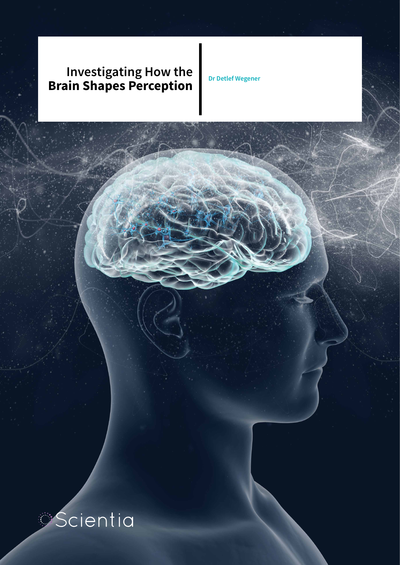## **Investigating How the Brain Shapes Perception**

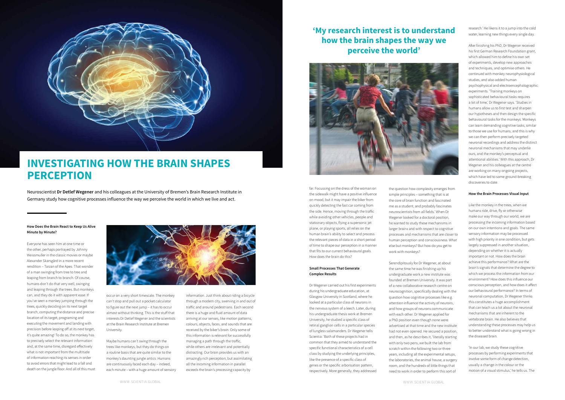## **How Does the Brain React to Keep Us Alive Minute by Minute?**

Everyone has seen him at one time or the other, perhaps portrayed by Johnny Weissmuller in the classic movies or maybe Alexander Skarsgård in a more recent rendition – Tarzan of the Apes. That wonder of a man swinging from tree to tree and leaping from branch to branch. Of course, humans don't do that very well, swinging and leaping through the trees. But monkeys can, and they do it with apparent ease. If you've seen a monkey jumping through the trees, quickly deciding on its next target branch, computing the distance and precise location of its target, programing and executing the movement and landing with precision before leaping off at its next target, it's quite amazing! To do so, the monkey has to precisely select the relevant information and, at the same time, disregard effectively what is not important from the multitude of information reaching its senses in order to avoid errors that might lead to a fall and death on the jungle floor. And all of this must



occur on a very short timescale. The monkey can't stop and pull out a pocket calculator to figure out the next jump – it has to occur almost without thinking. This is the stuff that interests Dr Detlef Wegener and the scientists at the Brain Research Institute at Bremen University.

Maybe humans can't swing through the trees like monkeys, but they do things on a routine basis that are quite similar to the monkey's daunting jungle antics. Humans are continuously faced each day – indeed, each minute – with a huge amount of sensory



# **INVESTIGATING HOW THE BRAIN SHAPES PERCEPTION**

Neuroscientist **Dr Detlef Wegener** and his colleagues at the University of Bremen's Brain Research Institute in Germany study how cognitive processes influence the way we perceive the world in which we live and act.

> information. Just think about riding a bicycle through a modern city, swerving in and out of traffic and around pedestrians. Each second there is a huge and fluid amount of data arriving at our senses, like motion patterns, colours, objects, faces, and sounds that are received by the biker's brain. Only some of this information is relevant for successfully managing a path through the traffic, while others are irrelevant and potentially distracting. Our brain provides us with an amazingly rich perception, but assimilating all the incoming information in parallel exceeds the brain's processing capacity by

far. Focussing on the dress of the woman on the sidewalk might have a positive influence on mood, but it may impair the biker from quickly detecting the fast car coming from the side. Hence, moving through the traffic while avoiding other vehicles, people and stationary objects, flying a supersonic jet plane, or playing sports, all relies on the human brain's ability to select and process the relevant pieces of data in a short period of time to shape our perception in a manner that fits to our current behavioural goals. How does the brain do this?

## **Small Processes That Generate Complex Results**

Dr Wegener carried out his first experiments during his undergraduate education, at Glasgow University in Scotland, where he looked at a particular class of neurons in the nervous system of a leech. Later, during his undergraduate thesis work at Bremen University, he studied a specific class of retinal ganglion cells in a particular species of lungless salamanders. Dr Wegener tells Scientia: 'Both of these projects had in common that they aimed to understand the specific functional characteristics of a cell class by studying the underlying principles, like the presence of a specific class of genes or the specific arborisation pattern, respectively. More generally, they addressed

the question how complexity emerges from simple principles – something that is at the core of brain function and fascinated me as a student, and probably fascinates neuroscientists from all fields.' When Dr Wegener looked for a doctoral position, he wanted to study these mechanisms in larger brains and with respect to cognitive processes and mechanisms that are closer to human perception and consciousness. What else but monkeys? But how do you get to work with monkeys?

Serendipitously for Dr Wegener, at about the same time he was finishing up his undergraduate work a new institute was founded at Bremen University. It was part of a new collaborative research centre on neurocognition, specifically dealing with the question how cognitive processes like e.g. attention influence the activity of neurons, and how groups of neurons communicate with each other. Dr Wegener applied for a PhD position even though none were advertised at that time and the new institute had not even opened. He secured a position, and then, as he describes it, 'literally starting with only two pens, we built the lab from scratch within the following two or three years, including all the experimental setups, the laboratories, the animal house, a surgery room, and the hundreds of little things that need to work in order to perform this sort of

research.' He likens it to a jump into the cold water, learning new things every single day.

After finishing his PhD, Dr Wegener received his first German Research Foundation grant, which allowed him to define his own set of experiments, develop new approaches and techniques, and optimise others. He continued with monkey neurophysiological studies, and also added human psychophysical and electroencephalographic experiments. 'Training monkeys on sophisticated behavioural tasks requires a lot of time,' Dr Wegener says. 'Studies in humans allow us to first test and sharpen our hypotheses and then design the specific behavioural tasks for the monkeys. Monkeys can learn demanding cognitive tasks, similar to those we use for humans, and this is why we can then perform precisely targeted neuronal recordings and address the distinct neuronal mechanisms that may underlie ours, and the monkey's perceptual and attentional abilities.' With this approach, Dr Wegener and his colleagues at the centre are working on many ongoing projects, which have led to some ground-breaking discoveries to date.

## **How the Brain Processes Visual Input**

Like the monkey in the trees, when we humans ride, drive, fly or otherwise make our way through our world, we are processing the incoming information based on our own intentions and goals. The same sensory information may be processed with high priority in one condition, but gets largely suppressed in another situation, depending on whether it is actually important or not. How does the brain achieve this performance? What are the brain's signals that determine the degree to which we process the information from our environment? How does this influence our conscious perception, and how does it affect our behavioural performance? In terms of neuronal computation, Dr Wegener thinks this constitutes a huge accomplishment that can teach us a lot about the neuronal mechanisms that are inherent to the vertebrate brain. He also believes that understanding these processes may help us to better understand what is going wrong in the diseased brain.

'In our lab, we study these cognitive processes by performing experiments that involve some form of change detection, usually a change in the colour or the motion of a visual stimulus,' he tells us. The

**'My research interest is to understand how the brain shapes the way we perceive the world'**